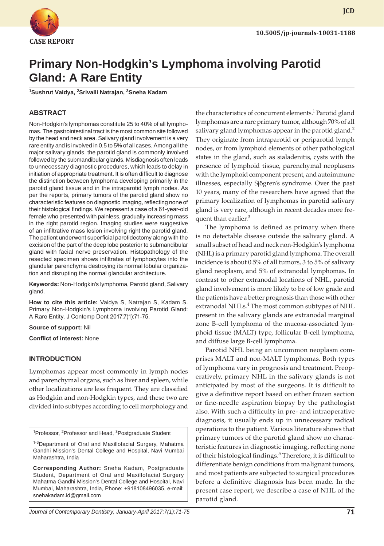

**JCD**

# **Primary Non-Hodgkin's Lymphoma involving Parotid Gland: A Rare Entity**

<sup>1</sup>Sushrut Vaidya, <sup>2</sup>Srivalli Natrajan, <sup>3</sup>Sneha Kadam

## **ABSTRACT**

Non-Hodgkin's lymphomas constitute 25 to 40% of all lymphomas. The gastrointestinal tract is the most common site followed by the head and neck area. Salivary gland involvement is a very rare entity and is involved in 0.5 to 5% of all cases. Among all the major salivary glands, the parotid gland is commonly involved followed by the submandibular glands. Misdiagnosis often leads to unnecessary diagnostic procedures, which leads to delay in initiation of appropriate treatment. It is often difficult to diagnose the distinction between lymphoma developing primarily in the parotid gland tissue and in the intraparotid lymph nodes. As per the reports, primary tumors of the parotid gland show no characteristic features on diagnostic imaging, reflecting none of their histological findings. We represent a case of a 61-year-old female who presented with painless, gradually increasing mass in the right parotid region. Imaging studies were suggestive of an infiltrative mass lesion involving right the parotid gland. The patient underwent superficial parotidectomy along with the excision of the part of the deep lobe posterior to submandibular gland with facial nerve preservation. Histopathology of the resected specimen shows infiltrates of lymphocytes into the glandular parenchyma destroying its normal lobular organization and disrupting the normal glandular architecture.

**Keywords:** Non-Hodgkin's lymphoma, Parotid gland, Salivary gland.

**How to cite this article:** Vaidya S, Natrajan S, Kadam S. Primary Non-Hodgkin's Lymphoma involving Parotid Gland: A Rare Entity. J Contemp Dent 2017;7(1):71-75.

#### **Source of support:** Nil

**Conflict of interest:** None

### **INTRODUCTION**

Lymphomas appear most commonly in lymph nodes and parenchymal organs, such as liver and spleen, while other localizations are less frequent. They are classified as Hodgkin and non-Hodgkin types, and these two are divided into subtypes according to cell morphology and

<sup>1</sup>Professor, <sup>2</sup>Professor and Head, <sup>3</sup>Postgraduate Student

<sup>1-3</sup>Department of Oral and Maxillofacial Surgery, Mahatma Gandhi Mission's Dental College and Hospital, Navi Mumbai Maharashtra, India

**Corresponding Author:** Sneha Kadam, Postgraduate Student, Department of Oral and Maxillofacial Surgery Mahatma Gandhi Mission's Dental College and Hospital, Navi Mumbai, Maharashtra, India, Phone: +918108496035, e-mail: snehakadam.id@gmail.com

the characteristics of concurrent elements.<sup>1</sup> Parotid gland lymphomas are a rare primary tumor, although 70% of all salivary gland lymphomas appear in the parotid gland.<sup>2</sup> They originate from intraparotid or periparotid lymph nodes, or from lymphoid elements of other pathological states in the gland, such as sialadenitis, cysts with the presence of lymphoid tissue, parenchymal neoplasms with the lymphoid component present, and autoimmune illnesses, especially Sjögren's syndrome. Over the past 10 years, many of the researchers have agreed that the primary localization of lymphomas in parotid salivary gland is very rare, although in recent decades more frequent than earlier.<sup>3</sup>

The lymphoma is defined as primary when there is no detectable disease outside the salivary gland. A small subset of head and neck non-Hodgkin's lymphoma (NHL) is a primary parotid gland lymphoma. The overall incidence is about 0.5% of all tumors, 3 to 5% of salivary gland neoplasm, and 5% of extranodal lymphomas. In contrast to other extranodal locations of NHL, parotid gland involvement is more likely to be of low grade and the patients have a better prognosis than those with other extranodal NHLs.<sup>4</sup> The most common subtypes of NHL present in the salivary glands are extranodal marginal zone B-cell lymphoma of the mucosa-associated lymphoid tissue (MALT) type, follicular B-cell lymphoma, and diffuse large B-cell lymphoma.

Parotid NHL being an uncommon neoplasm comprises MALT and non-MALT lymphomas. Both types of lymphoma vary in prognosis and treatment. Preoperatively, primary NHL in the salivary glands is not anticipated by most of the surgeons. It is difficult to give a definitive report based on either frozen section or fine-needle aspiration biopsy by the pathologist also. With such a difficulty in pre- and intraoperative diagnosis, it usually ends up in unnecessary radical operations to the patient. Various literature shows that primary tumors of the parotid gland show no characteristic features in diagnostic imaging, reflecting none of their histological findings.<sup>5</sup> Therefore, it is difficult to differentiate benign conditions from malignant tumors, and most patients are subjected to surgical procedures before a definitive diagnosis has been made. In the present case report, we describe a case of NHL of the parotid gland.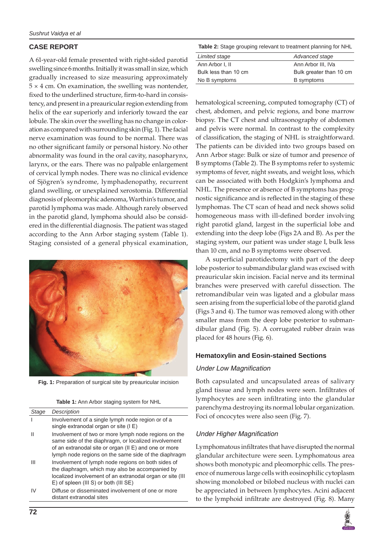## **CASE REPORT**

A 61-year-old female presented with right-sided parotid swelling since 6 months. Initially it was small in size, which gradually increased to size measuring approximately  $5 \times 4$  cm. On examination, the swelling was nontender, fixed to the underlined structure, firm-to-hard in consistency, and present in a preauricular region extending from helix of the ear superiorly and inferiorly toward the ear lobule. The skin over the swelling has no change in coloration as compared with surrounding skin (Fig. 1). The facial nerve examination was found to be normal. There was no other significant family or personal history. No other abnormality was found in the oral cavity, nasopharynx, larynx, or the ears. There was no palpable enlargement of cervical lymph nodes. There was no clinical evidence of Sjögren's syndrome, lymphadenopathy, recurrent gland swelling, or unexplained xerostomia. Differential diagnosis of pleomorphic adenoma, Warthin's tumor, and parotid lymphoma was made. Although rarely observed in the parotid gland, lymphoma should also be considered in the differential diagnosis. The patient was staged according to the Ann Arbor staging system (Table 1). Staging consisted of a general physical examination,



**Fig. 1:** Preparation of surgical site by preauricular incision

| Table 1: Ann Arbor staging system for NHL |  |  |  |  |
|-------------------------------------------|--|--|--|--|
|-------------------------------------------|--|--|--|--|

| Stage | Description                                                                                                                                                                                                                         |
|-------|-------------------------------------------------------------------------------------------------------------------------------------------------------------------------------------------------------------------------------------|
|       | Involvement of a single lymph node region or of a<br>single extranodal organ or site (IE)                                                                                                                                           |
| Ш     | Involvement of two or more lymph node regions on the<br>same side of the diaphragm, or localized involvement<br>of an extranodal site or organ ( $II \nE$ ) and one or more<br>lymph node regions on the same side of the diaphragm |
| Ш     | Involvement of lymph node regions on both sides of<br>the diaphragm, which may also be accompanied by<br>localized involvement of an extranodal organ or site (III)<br>E) of spleen (III S) or both (III SE)                        |
| IV    | Diffuse or disseminated involvement of one or more<br>distant extranodal sites                                                                                                                                                      |

**Table 2:** Stage grouping relevant to treatment planning for NHL

| Limited stage        | Advanced stage          |
|----------------------|-------------------------|
| Ann Arbor I, II      | Ann Arbor III. IVa      |
| Bulk less than 10 cm | Bulk greater than 10 cm |
| No B symptoms        | <b>B</b> symptoms       |
|                      |                         |

hematological screening, computed tomography (CT) of chest, abdomen, and pelvic regions, and bone marrow biopsy. The CT chest and ultrasonography of abdomen and pelvis were normal. In contrast to the complexity of classification, the staging of NHL is straightforward. The patients can be divided into two groups based on Ann Arbor stage: Bulk or size of tumor and presence of B symptoms (Table 2). The B symptoms refer to systemic symptoms of fever, night sweats, and weight loss, which can be associated with both Hodgkin's lymphoma and NHL. The presence or absence of B symptoms has prognostic significance and is reflected in the staging of these lymphomas. The CT scan of head and neck shows solid homogeneous mass with ill-defined border involving right parotid gland, largest in the superficial lobe and extending into the deep lobe (Figs 2A and B). As per the staging system, our patient was under stage I, bulk less than 10 cm, and no B symptoms were observed.

A superficial parotidectomy with part of the deep lobe posterior to submandibular gland was excised with preauricular skin incision. Facial nerve and its terminal branches were preserved with careful dissection. The retromandibular vein was ligated and a globular mass seen arising from the superficial lobe of the parotid gland (Figs 3 and 4). The tumor was removed along with other smaller mass from the deep lobe posterior to submandibular gland (Fig. 5). A corrugated rubber drain was placed for 48 hours (Fig. 6).

## **Hematoxylin and Eosin-stained Sections**

### Under Low Magnification

Both capsulated and uncapsulated areas of salivary gland tissue and lymph nodes were seen. Infiltrates of lymphocytes are seen infiltrating into the glandular parenchyma destroying its normal lobular organization. Foci of oncocytes were also seen (Fig. 7).

## Under Higher Magnification

Lymphomatous infiltrates that have disrupted the normal glandular architecture were seen. Lymphomatous area shows both monotypic and pleomorphic cells. The presence of numerous large cells with eosinophilic cytoplasm showing monolobed or bilobed nucleus with nuclei can be appreciated in between lymphocytes. Acini adjacent to the lymphoid infiltrate are destroyed (Fig. 8). Many

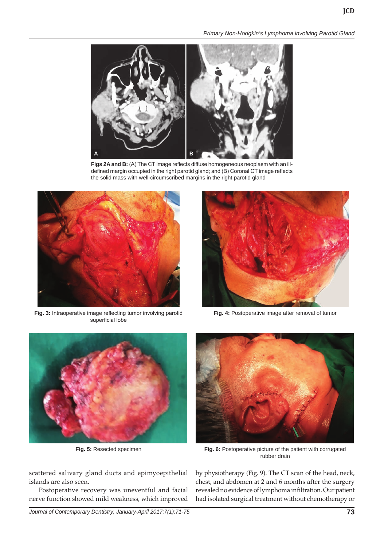*Primary Non-Hodgkin's Lymphoma involving Parotid Gland*



**Figs 2A and B:** (A) The CT image reflects diffuse homogeneous neoplasm with an illdefined margin occupied in the right parotid gland; and (B) Coronal CT image reflects the solid mass with well-circumscribed margins in the right parotid gland



**Fig. 3:** Intraoperative image reflecting tumor involving parotid superficial lobe



**Fig. 4:** Postoperative image after removal of tumor



scattered salivary gland ducts and epimyoepithelial islands are also seen.

Postoperative recovery was uneventful and facial nerve function showed mild weakness, which improved





**Fig. 5:** Resected specimen **Fig. 6:** Postoperative picture of the patient with corrugated rubber drain

by physiotherapy (Fig. 9). The CT scan of the head, neck, chest, and abdomen at 2 and 6 months after the surgery revealed no evidence of lymphoma infiltration. Our patient had isolated surgical treatment without chemotherapy or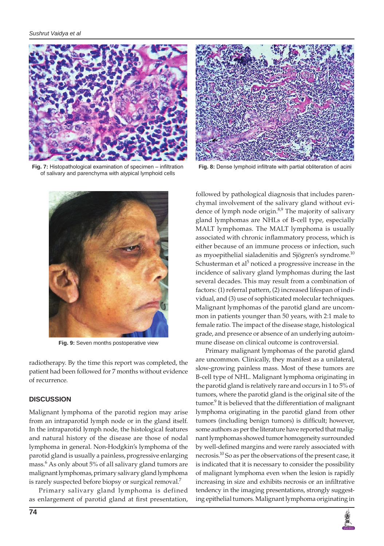

**Fig. 7:** Histopathological examination of specimen – infiltration of salivary and parenchyma with atypical lymphoid cells



**Fig. 8:** Dense lymphoid infiltrate with partial obliteration of acini



**Fig. 9:** Seven months postoperative view

radiotherapy. By the time this report was completed, the patient had been followed for 7 months without evidence of recurrence.

#### **DISCUSSION**

Malignant lymphoma of the parotid region may arise from an intraparotid lymph node or in the gland itself. In the intraparotid lymph node, the histological features and natural history of the disease are those of nodal lymphoma in general. Non-Hodgkin's lymphoma of the parotid gland is usually a painless, progressive enlarging mass.6 As only about 5% of all salivary gland tumors are malignant lymphomas, primary salivary gland lymphoma is rarely suspected before biopsy or surgical removal.<sup>7</sup>

Primary salivary gland lymphoma is defined as enlargement of parotid gland at first presentation, followed by pathological diagnosis that includes parenchymal involvement of the salivary gland without evidence of lymph node origin.<sup>8,9</sup> The majority of salivary gland lymphomas are NHLs of B-cell type, especially MALT lymphomas. The MALT lymphoma is usually associated with chronic inflammatory process, which is either because of an immune process or infection, such as myoepithelial sialadenitis and Sjögren's syndrome.<sup>10</sup> Schusterman et al $^5$  noticed a progressive increase in the incidence of salivary gland lymphomas during the last several decades. This may result from a combination of factors: (1) referral pattern, (2) increased lifespan of individual, and (3) use of sophisticated molecular techniques. Malignant lymphomas of the parotid gland are uncommon in patients younger than 50 years, with 2:1 male to female ratio. The impact of the disease stage, histological grade, and presence or absence of an underlying autoimmune disease on clinical outcome is controversial.

Primary malignant lymphomas of the parotid gland are uncommon. Clinically, they manifest as a unilateral, slow-growing painless mass. Most of these tumors are B-cell type of NHL. Malignant lymphoma originating in the parotid gland is relatively rare and occurs in 1 to 5% of tumors, where the parotid gland is the original site of the tumor.<sup>9</sup> It is believed that the differentiation of malignant lymphoma originating in the parotid gland from other tumors (including benign tumors) is difficult; however, some authors as per the literature have reported that malignant lymphomas showed tumor homogeneity surrounded by well-defined margins and were rarely associated with necrosis.<sup>10</sup> So as per the observations of the present case, it is indicated that it is necessary to consider the possibility of malignant lymphoma even when the lesion is rapidly increasing in size and exhibits necrosis or an infiltrative tendency in the imaging presentations, strongly suggesting epithelial tumors. Malignant lymphoma originating in